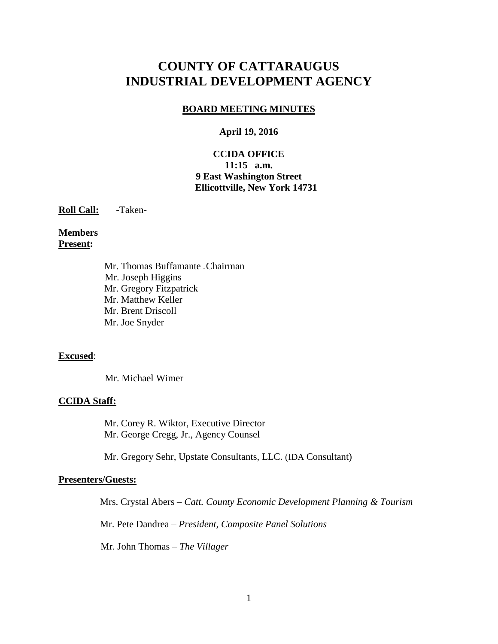# **COUNTY OF CATTARAUGUS INDUSTRIAL DEVELOPMENT AGENCY**

#### **BOARD MEETING MINUTES**

#### **April 19, 2016**

### **CCIDA OFFICE 11:15 a.m. 9 East Washington Street Ellicottville, New York 14731**

**Roll Call:** -Taken-

#### **Members Present:**

Mr. Thomas Buffamante –Chairman Mr. Joseph Higgins Mr. Gregory Fitzpatrick Mr. Matthew Keller Mr. Brent Driscoll Mr. Joe Snyder

#### **Excused**:

Mr. Michael Wimer

#### **CCIDA Staff:**

Mr. Corey R. Wiktor, Executive Director Mr. George Cregg, Jr., Agency Counsel

Mr. Gregory Sehr, Upstate Consultants, LLC. (IDA Consultant)

#### **Presenters/Guests:**

Mrs. Crystal Abers – *Catt. County Economic Development Planning & Tourism*

Mr. Pete Dandrea – *President, Composite Panel Solutions*

Mr. John Thomas – *The Villager*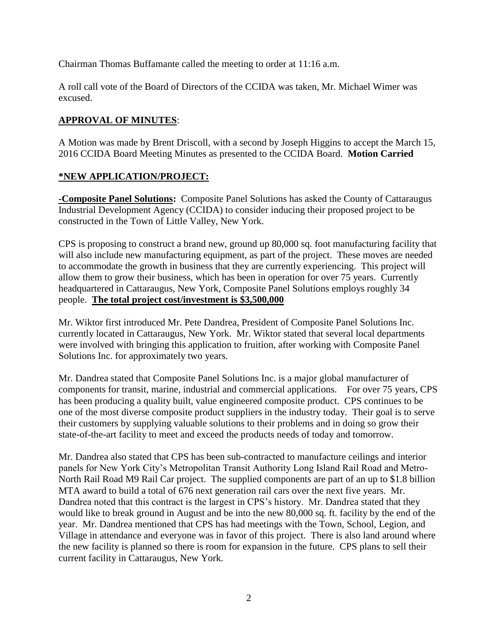Chairman Thomas Buffamante called the meeting to order at 11:16 a.m.

A roll call vote of the Board of Directors of the CCIDA was taken, Mr. Michael Wimer was excused.

# **APPROVAL OF MINUTES**:

A Motion was made by Brent Driscoll, with a second by Joseph Higgins to accept the March 15, 2016 CCIDA Board Meeting Minutes as presented to the CCIDA Board. **Motion Carried**

# **\*NEW APPLICATION/PROJECT:**

**-Composite Panel Solutions:** Composite Panel Solutions has asked the County of Cattaraugus Industrial Development Agency (CCIDA) to consider inducing their proposed project to be constructed in the Town of Little Valley, New York.

CPS is proposing to construct a brand new, ground up 80,000 sq. foot manufacturing facility that will also include new manufacturing equipment, as part of the project. These moves are needed to accommodate the growth in business that they are currently experiencing. This project will allow them to grow their business, which has been in operation for over 75 years. Currently headquartered in Cattaraugus, New York, Composite Panel Solutions employs roughly 34 people. **The total project cost/investment is \$3,500,000**

Mr. Wiktor first introduced Mr. Pete Dandrea, President of Composite Panel Solutions Inc. currently located in Cattaraugus, New York. Mr. Wiktor stated that several local departments were involved with bringing this application to fruition, after working with Composite Panel Solutions Inc. for approximately two years.

Mr. Dandrea stated that Composite Panel Solutions Inc. is a major global manufacturer of components for transit, marine, industrial and commercial applications. For over 75 years, CPS has been producing a quality built, value engineered composite product. CPS continues to be one of the most diverse composite product suppliers in the industry today. Their goal is to serve their customers by supplying valuable solutions to their problems and in doing so grow their state-of-the-art facility to meet and exceed the products needs of today and tomorrow.

Mr. Dandrea also stated that CPS has been sub-contracted to manufacture ceilings and interior panels for New York City's Metropolitan Transit Authority Long Island Rail Road and Metro-North Rail Road M9 Rail Car project. The supplied components are part of an up to \$1.8 billion MTA award to build a total of 676 next generation rail cars over the next five years. Mr. Dandrea noted that this contract is the largest in CPS's history. Mr. Dandrea stated that they would like to break ground in August and be into the new 80,000 sq. ft. facility by the end of the year. Mr. Dandrea mentioned that CPS has had meetings with the Town, School, Legion, and Village in attendance and everyone was in favor of this project. There is also land around where the new facility is planned so there is room for expansion in the future. CPS plans to sell their current facility in Cattaraugus, New York.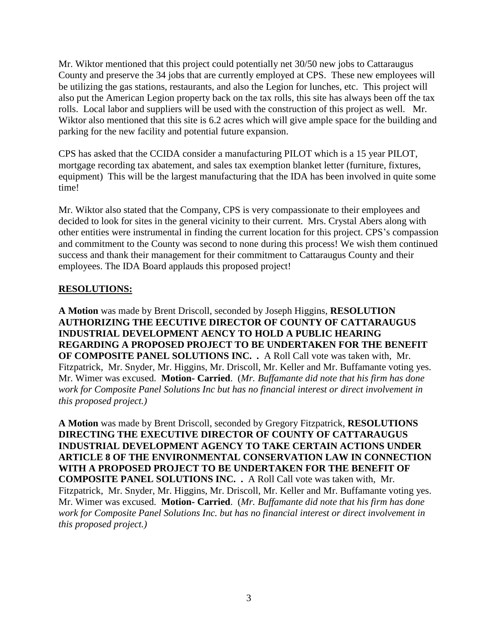Mr. Wiktor mentioned that this project could potentially net 30/50 new jobs to Cattaraugus County and preserve the 34 jobs that are currently employed at CPS. These new employees will be utilizing the gas stations, restaurants, and also the Legion for lunches, etc. This project will also put the American Legion property back on the tax rolls, this site has always been off the tax rolls. Local labor and suppliers will be used with the construction of this project as well. Mr. Wiktor also mentioned that this site is 6.2 acres which will give ample space for the building and parking for the new facility and potential future expansion.

CPS has asked that the CCIDA consider a manufacturing PILOT which is a 15 year PILOT, mortgage recording tax abatement, and sales tax exemption blanket letter (furniture, fixtures, equipment) This will be the largest manufacturing that the IDA has been involved in quite some time!

Mr. Wiktor also stated that the Company, CPS is very compassionate to their employees and decided to look for sites in the general vicinity to their current. Mrs. Crystal Abers along with other entities were instrumental in finding the current location for this project. CPS's compassion and commitment to the County was second to none during this process! We wish them continued success and thank their management for their commitment to Cattaraugus County and their employees. The IDA Board applauds this proposed project!

### **RESOLUTIONS:**

**A Motion** was made by Brent Driscoll, seconded by Joseph Higgins, **RESOLUTION AUTHORIZING THE EECUTIVE DIRECTOR OF COUNTY OF CATTARAUGUS INDUSTRIAL DEVELOPMENT AENCY TO HOLD A PUBLIC HEARING REGARDING A PROPOSED PROJECT TO BE UNDERTAKEN FOR THE BENEFIT OF COMPOSITE PANEL SOLUTIONS INC. .** A Roll Call vote was taken with, Mr. Fitzpatrick, Mr. Snyder, Mr. Higgins, Mr. Driscoll, Mr. Keller and Mr. Buffamante voting yes. Mr. Wimer was excused. **Motion- Carried**. (*Mr. Buffamante did note that his firm has done work for Composite Panel Solutions Inc but has no financial interest or direct involvement in this proposed project.)*

**A Motion** was made by Brent Driscoll, seconded by Gregory Fitzpatrick, **RESOLUTIONS DIRECTING THE EXECUTIVE DIRECTOR OF COUNTY OF CATTARAUGUS INDUSTRIAL DEVELOPMENT AGENCY TO TAKE CERTAIN ACTIONS UNDER ARTICLE 8 OF THE ENVIRONMENTAL CONSERVATION LAW IN CONNECTION WITH A PROPOSED PROJECT TO BE UNDERTAKEN FOR THE BENEFIT OF COMPOSITE PANEL SOLUTIONS INC. .** A Roll Call vote was taken with, Mr. Fitzpatrick, Mr. Snyder, Mr. Higgins, Mr. Driscoll, Mr. Keller and Mr. Buffamante voting yes. Mr. Wimer was excused. **Motion- Carried**. (*Mr. Buffamante did note that his firm has done work for Composite Panel Solutions Inc. but has no financial interest or direct involvement in this proposed project.)*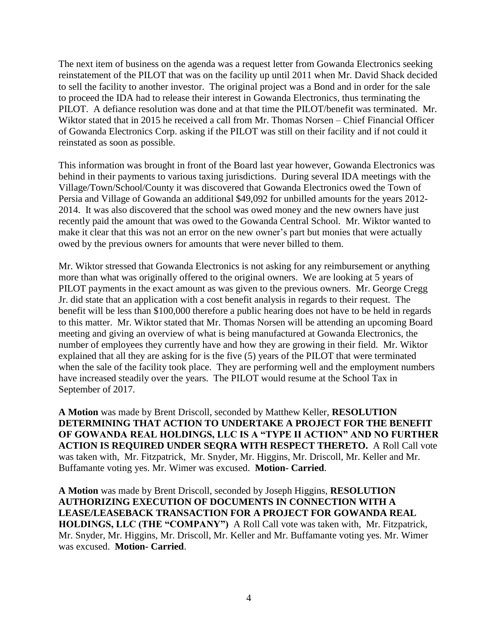The next item of business on the agenda was a request letter from Gowanda Electronics seeking reinstatement of the PILOT that was on the facility up until 2011 when Mr. David Shack decided to sell the facility to another investor. The original project was a Bond and in order for the sale to proceed the IDA had to release their interest in Gowanda Electronics, thus terminating the PILOT. A defiance resolution was done and at that time the PILOT/benefit was terminated. Mr. Wiktor stated that in 2015 he received a call from Mr. Thomas Norsen – Chief Financial Officer of Gowanda Electronics Corp. asking if the PILOT was still on their facility and if not could it reinstated as soon as possible.

This information was brought in front of the Board last year however, Gowanda Electronics was behind in their payments to various taxing jurisdictions. During several IDA meetings with the Village/Town/School/County it was discovered that Gowanda Electronics owed the Town of Persia and Village of Gowanda an additional \$49,092 for unbilled amounts for the years 2012- 2014. It was also discovered that the school was owed money and the new owners have just recently paid the amount that was owed to the Gowanda Central School. Mr. Wiktor wanted to make it clear that this was not an error on the new owner's part but monies that were actually owed by the previous owners for amounts that were never billed to them.

Mr. Wiktor stressed that Gowanda Electronics is not asking for any reimbursement or anything more than what was originally offered to the original owners. We are looking at 5 years of PILOT payments in the exact amount as was given to the previous owners. Mr. George Cregg Jr. did state that an application with a cost benefit analysis in regards to their request. The benefit will be less than \$100,000 therefore a public hearing does not have to be held in regards to this matter. Mr. Wiktor stated that Mr. Thomas Norsen will be attending an upcoming Board meeting and giving an overview of what is being manufactured at Gowanda Electronics, the number of employees they currently have and how they are growing in their field. Mr. Wiktor explained that all they are asking for is the five (5) years of the PILOT that were terminated when the sale of the facility took place. They are performing well and the employment numbers have increased steadily over the years. The PILOT would resume at the School Tax in September of 2017.

**A Motion** was made by Brent Driscoll, seconded by Matthew Keller, **RESOLUTION DETERMINING THAT ACTION TO UNDERTAKE A PROJECT FOR THE BENEFIT OF GOWANDA REAL HOLDINGS, LLC IS A "TYPE II ACTION" AND NO FURTHER ACTION IS REQUIRED UNDER SEQRA WITH RESPECT THERETO.** A Roll Call vote was taken with, Mr. Fitzpatrick, Mr. Snyder, Mr. Higgins, Mr. Driscoll, Mr. Keller and Mr. Buffamante voting yes. Mr. Wimer was excused. **Motion- Carried**.

**A Motion** was made by Brent Driscoll, seconded by Joseph Higgins, **RESOLUTION AUTHORIZING EXECUTION OF DOCUMENTS IN CONNECTION WITH A LEASE/LEASEBACK TRANSACTION FOR A PROJECT FOR GOWANDA REAL HOLDINGS, LLC (THE "COMPANY")** A Roll Call vote was taken with, Mr. Fitzpatrick, Mr. Snyder, Mr. Higgins, Mr. Driscoll, Mr. Keller and Mr. Buffamante voting yes. Mr. Wimer was excused. **Motion- Carried**.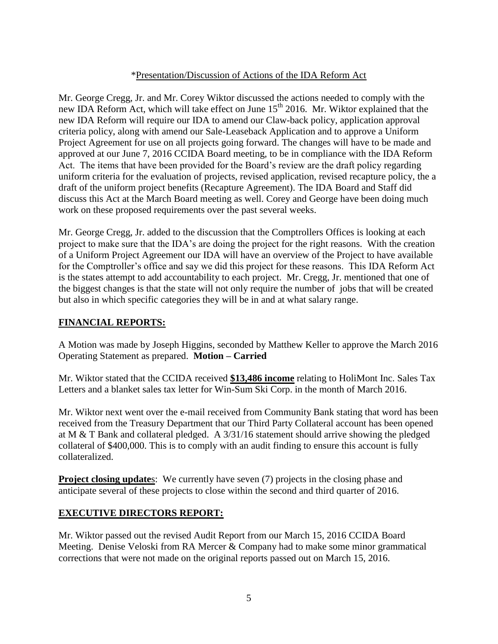### \*Presentation/Discussion of Actions of the IDA Reform Act

Mr. George Cregg, Jr. and Mr. Corey Wiktor discussed the actions needed to comply with the new IDA Reform Act, which will take effect on June  $15<sup>th</sup>$  2016. Mr. Wiktor explained that the new IDA Reform will require our IDA to amend our Claw-back policy, application approval criteria policy, along with amend our Sale-Leaseback Application and to approve a Uniform Project Agreement for use on all projects going forward. The changes will have to be made and approved at our June 7, 2016 CCIDA Board meeting, to be in compliance with the IDA Reform Act. The items that have been provided for the Board's review are the draft policy regarding uniform criteria for the evaluation of projects, revised application, revised recapture policy, the a draft of the uniform project benefits (Recapture Agreement). The IDA Board and Staff did discuss this Act at the March Board meeting as well. Corey and George have been doing much work on these proposed requirements over the past several weeks.

Mr. George Cregg, Jr. added to the discussion that the Comptrollers Offices is looking at each project to make sure that the IDA's are doing the project for the right reasons. With the creation of a Uniform Project Agreement our IDA will have an overview of the Project to have available for the Comptroller's office and say we did this project for these reasons. This IDA Reform Act is the states attempt to add accountability to each project. Mr. Cregg, Jr. mentioned that one of the biggest changes is that the state will not only require the number of jobs that will be created but also in which specific categories they will be in and at what salary range.

# **FINANCIAL REPORTS:**

A Motion was made by Joseph Higgins, seconded by Matthew Keller to approve the March 2016 Operating Statement as prepared. **Motion – Carried**

Mr. Wiktor stated that the CCIDA received **\$13,486 income** relating to HoliMont Inc. Sales Tax Letters and a blanket sales tax letter for Win-Sum Ski Corp. in the month of March 2016.

Mr. Wiktor next went over the e-mail received from Community Bank stating that word has been received from the Treasury Department that our Third Party Collateral account has been opened at M & T Bank and collateral pledged. A 3/31/16 statement should arrive showing the pledged collateral of \$400,000. This is to comply with an audit finding to ensure this account is fully collateralized.

**Project closing updates:** We currently have seven (7) projects in the closing phase and anticipate several of these projects to close within the second and third quarter of 2016.

# **EXECUTIVE DIRECTORS REPORT:**

Mr. Wiktor passed out the revised Audit Report from our March 15, 2016 CCIDA Board Meeting. Denise Veloski from RA Mercer & Company had to make some minor grammatical corrections that were not made on the original reports passed out on March 15, 2016.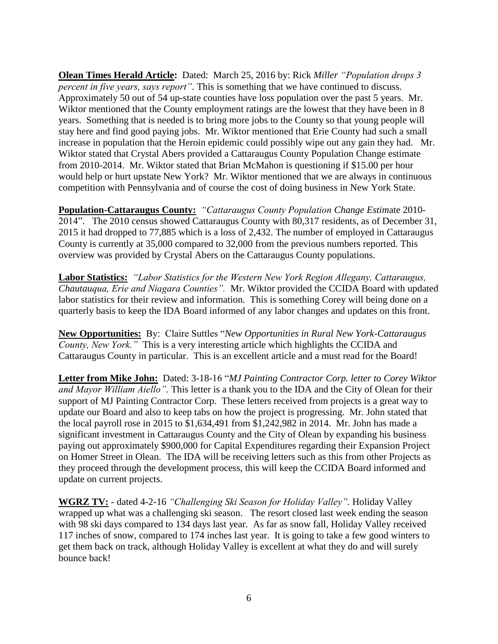**Olean Times Herald Article:** Dated: March 25, 2016 by: Rick *Miller "Population drops 3 percent in five years, says report"*. This is something that we have continued to discuss. Approximately 50 out of 54 up-state counties have loss population over the past 5 years. Mr. Wiktor mentioned that the County employment ratings are the lowest that they have been in 8 years. Something that is needed is to bring more jobs to the County so that young people will stay here and find good paying jobs. Mr. Wiktor mentioned that Erie County had such a small increase in population that the Heroin epidemic could possibly wipe out any gain they had. Mr. Wiktor stated that Crystal Abers provided a Cattaraugus County Population Change estimate from 2010-2014. Mr. Wiktor stated that Brian McMahon is questioning if \$15.00 per hour would help or hurt upstate New York? Mr. Wiktor mentioned that we are always in continuous competition with Pennsylvania and of course the cost of doing business in New York State.

**Population-Cattaraugus County:** *"Cattaraugus County Population Change Estim*ate 2010- 2014". The 2010 census showed Cattaraugus County with 80,317 residents, as of December 31, 2015 it had dropped to 77,885 which is a loss of 2,432. The number of employed in Cattaraugus County is currently at 35,000 compared to 32,000 from the previous numbers reported. This overview was provided by Crystal Abers on the Cattaraugus County populations.

**Labor Statistics:** *"Labor Statistics for the Western New York Region Allegany, Cattaraugus, Chautauqua, Erie and Niagara Counties".* Mr. Wiktor provided the CCIDA Board with updated labor statistics for their review and information. This is something Corey will being done on a quarterly basis to keep the IDA Board informed of any labor changes and updates on this front.

**New Opportunities:** By: Claire Suttles "*New Opportunities in Rural New York-Cattaraugus County, New York."* This is a very interesting article which highlights the CCIDA and Cattaraugus County in particular. This is an excellent article and a must read for the Board!

**Letter from Mike John:** Dated: 3-18-16 "*MJ Painting Contractor Corp. letter to Corey Wiktor and Mayor William Aiello".* This letter is a thank you to the IDA and the City of Olean for their support of MJ Painting Contractor Corp. These letters received from projects is a great way to update our Board and also to keep tabs on how the project is progressing. Mr. John stated that the local payroll rose in 2015 to \$1,634,491 from \$1,242,982 in 2014. Mr. John has made a significant investment in Cattaraugus County and the City of Olean by expanding his business paying out approximately \$900,000 for Capital Expenditures regarding their Expansion Project on Homer Street in Olean. The IDA will be receiving letters such as this from other Projects as they proceed through the development process, this will keep the CCIDA Board informed and update on current projects.

**WGRZ TV:** - dated 4-2-16 *"Challenging Ski Season for Holiday Valley".* Holiday Valley wrapped up what was a challenging ski season. The resort closed last week ending the season with 98 ski days compared to 134 days last year. As far as snow fall, Holiday Valley received 117 inches of snow, compared to 174 inches last year. It is going to take a few good winters to get them back on track, although Holiday Valley is excellent at what they do and will surely bounce back!